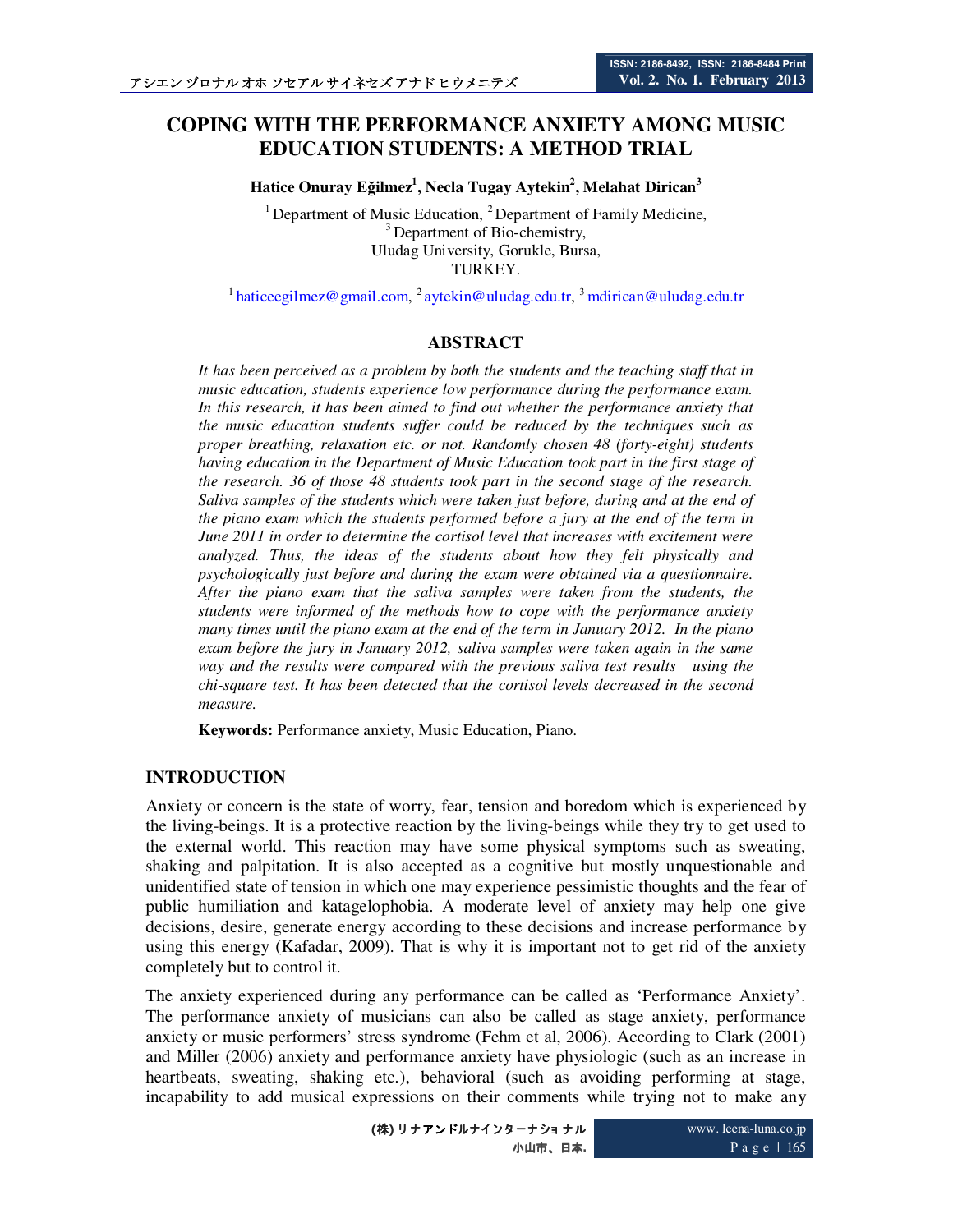# **COPING WITH THE PERFORMANCE ANXIETY AMONG MUSIC EDUCATION STUDENTS: A METHOD TRIAL**

**Hatice Onuray Eğilmez<sup>1</sup> , Necla Tugay Aytekin<sup>2</sup> , Melahat Dirican<sup>3</sup>**

<sup>1</sup> Department of Music Education,  ${}^{2}$  Department of Family Medicine, <sup>3</sup> Department of Bio-chemistry, Uludag University, Gorukle, Bursa, TURKEY.

<sup>1</sup> haticeegilmez@gmail.com, <sup>2</sup> aytekin@uludag.edu.tr, <sup>3</sup> mdirican@uludag.edu.tr

## **ABSTRACT**

*It has been perceived as a problem by both the students and the teaching staff that in music education, students experience low performance during the performance exam. In this research, it has been aimed to find out whether the performance anxiety that the music education students suffer could be reduced by the techniques such as proper breathing, relaxation etc. or not. Randomly chosen 48 (forty-eight) students having education in the Department of Music Education took part in the first stage of the research. 36 of those 48 students took part in the second stage of the research. Saliva samples of the students which were taken just before, during and at the end of the piano exam which the students performed before a jury at the end of the term in June 2011 in order to determine the cortisol level that increases with excitement were analyzed. Thus, the ideas of the students about how they felt physically and psychologically just before and during the exam were obtained via a questionnaire. After the piano exam that the saliva samples were taken from the students, the students were informed of the methods how to cope with the performance anxiety many times until the piano exam at the end of the term in January 2012. In the piano exam before the jury in January 2012, saliva samples were taken again in the same way and the results were compared with the previous saliva test results using the chi-square test. It has been detected that the cortisol levels decreased in the second measure.* 

**Keywords:** Performance anxiety, Music Education, Piano.

## **INTRODUCTION**

Anxiety or concern is the state of worry, fear, tension and boredom which is experienced by the living-beings. It is a protective reaction by the living-beings while they try to get used to the external world. This reaction may have some physical symptoms such as sweating, shaking and palpitation. It is also accepted as a cognitive but mostly unquestionable and unidentified state of tension in which one may experience pessimistic thoughts and the fear of public humiliation and katagelophobia. A moderate level of anxiety may help one give decisions, desire, generate energy according to these decisions and increase performance by using this energy (Kafadar, 2009). That is why it is important not to get rid of the anxiety completely but to control it.

The anxiety experienced during any performance can be called as 'Performance Anxiety'. The performance anxiety of musicians can also be called as stage anxiety, performance anxiety or music performers' stress syndrome (Fehm et al, 2006). According to Clark (2001) and Miller (2006) anxiety and performance anxiety have physiologic (such as an increase in heartbeats, sweating, shaking etc.), behavioral (such as avoiding performing at stage, incapability to add musical expressions on their comments while trying not to make any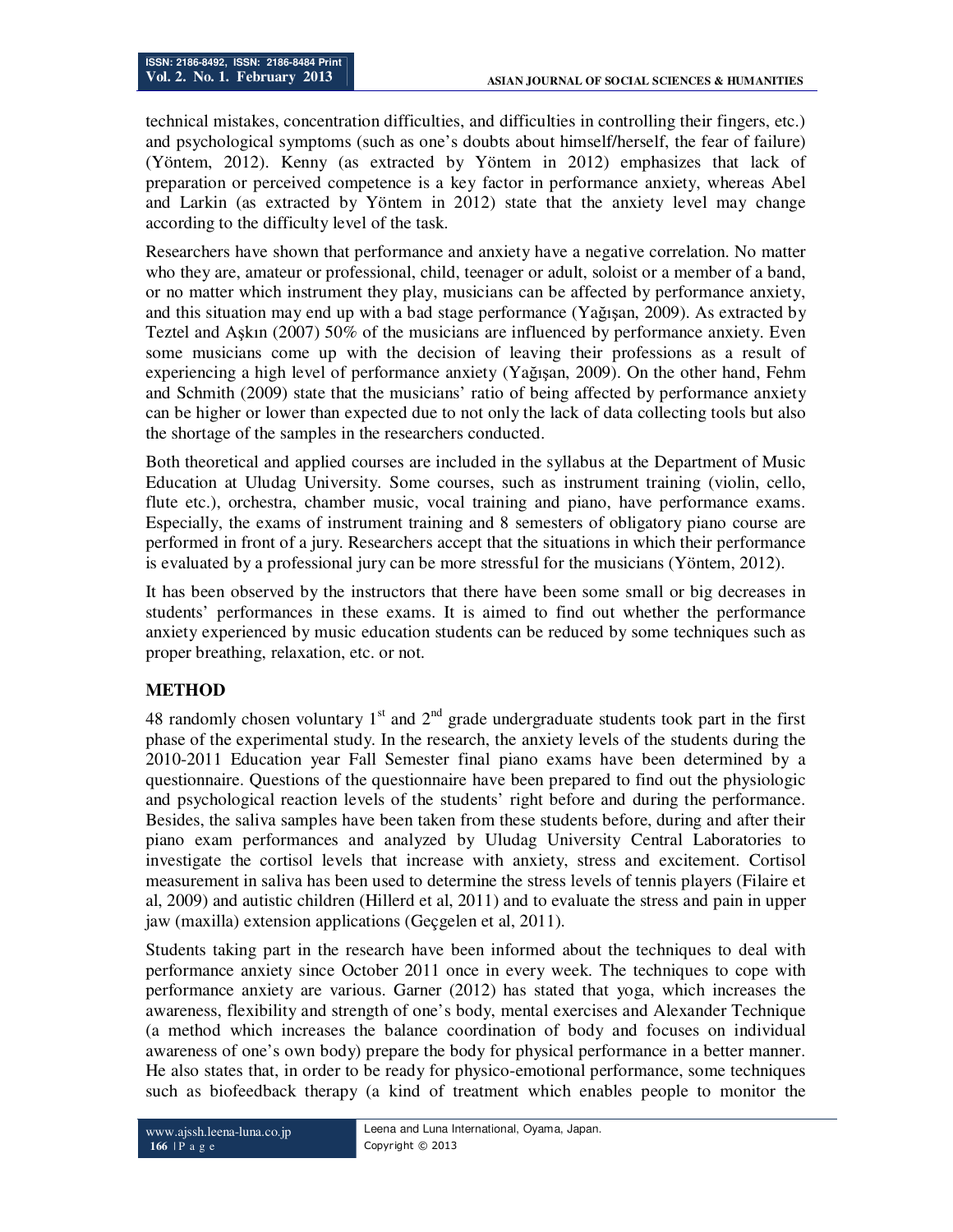technical mistakes, concentration difficulties, and difficulties in controlling their fingers, etc.) and psychological symptoms (such as one's doubts about himself/herself, the fear of failure) (Yöntem, 2012). Kenny (as extracted by Yöntem in 2012) emphasizes that lack of preparation or perceived competence is a key factor in performance anxiety, whereas Abel and Larkin (as extracted by Yöntem in 2012) state that the anxiety level may change according to the difficulty level of the task.

Researchers have shown that performance and anxiety have a negative correlation. No matter who they are, amateur or professional, child, teenager or adult, soloist or a member of a band, or no matter which instrument they play, musicians can be affected by performance anxiety, and this situation may end up with a bad stage performance (Yağışan, 2009). As extracted by Teztel and Aşkın (2007) 50% of the musicians are influenced by performance anxiety. Even some musicians come up with the decision of leaving their professions as a result of experiencing a high level of performance anxiety (Yağışan, 2009). On the other hand, Fehm and Schmith (2009) state that the musicians' ratio of being affected by performance anxiety can be higher or lower than expected due to not only the lack of data collecting tools but also the shortage of the samples in the researchers conducted.

Both theoretical and applied courses are included in the syllabus at the Department of Music Education at Uludag University. Some courses, such as instrument training (violin, cello, flute etc.), orchestra, chamber music, vocal training and piano, have performance exams. Especially, the exams of instrument training and 8 semesters of obligatory piano course are performed in front of a jury. Researchers accept that the situations in which their performance is evaluated by a professional jury can be more stressful for the musicians (Yöntem, 2012).

It has been observed by the instructors that there have been some small or big decreases in students' performances in these exams. It is aimed to find out whether the performance anxiety experienced by music education students can be reduced by some techniques such as proper breathing, relaxation, etc. or not.

## **METHOD**

48 randomly chosen voluntary  $1<sup>st</sup>$  and  $2<sup>nd</sup>$  grade undergraduate students took part in the first phase of the experimental study. In the research, the anxiety levels of the students during the 2010-2011 Education year Fall Semester final piano exams have been determined by a questionnaire. Questions of the questionnaire have been prepared to find out the physiologic and psychological reaction levels of the students' right before and during the performance. Besides, the saliva samples have been taken from these students before, during and after their piano exam performances and analyzed by Uludag University Central Laboratories to investigate the cortisol levels that increase with anxiety, stress and excitement. Cortisol measurement in saliva has been used to determine the stress levels of tennis players (Filaire et al, 2009) and autistic children (Hillerd et al, 2011) and to evaluate the stress and pain in upper jaw (maxilla) extension applications (Geçgelen et al, 2011).

Students taking part in the research have been informed about the techniques to deal with performance anxiety since October 2011 once in every week. The techniques to cope with performance anxiety are various. Garner (2012) has stated that yoga, which increases the awareness, flexibility and strength of one's body, mental exercises and Alexander Technique (a method which increases the balance coordination of body and focuses on individual awareness of one's own body) prepare the body for physical performance in a better manner. He also states that, in order to be ready for physico-emotional performance, some techniques such as biofeedback therapy (a kind of treatment which enables people to monitor the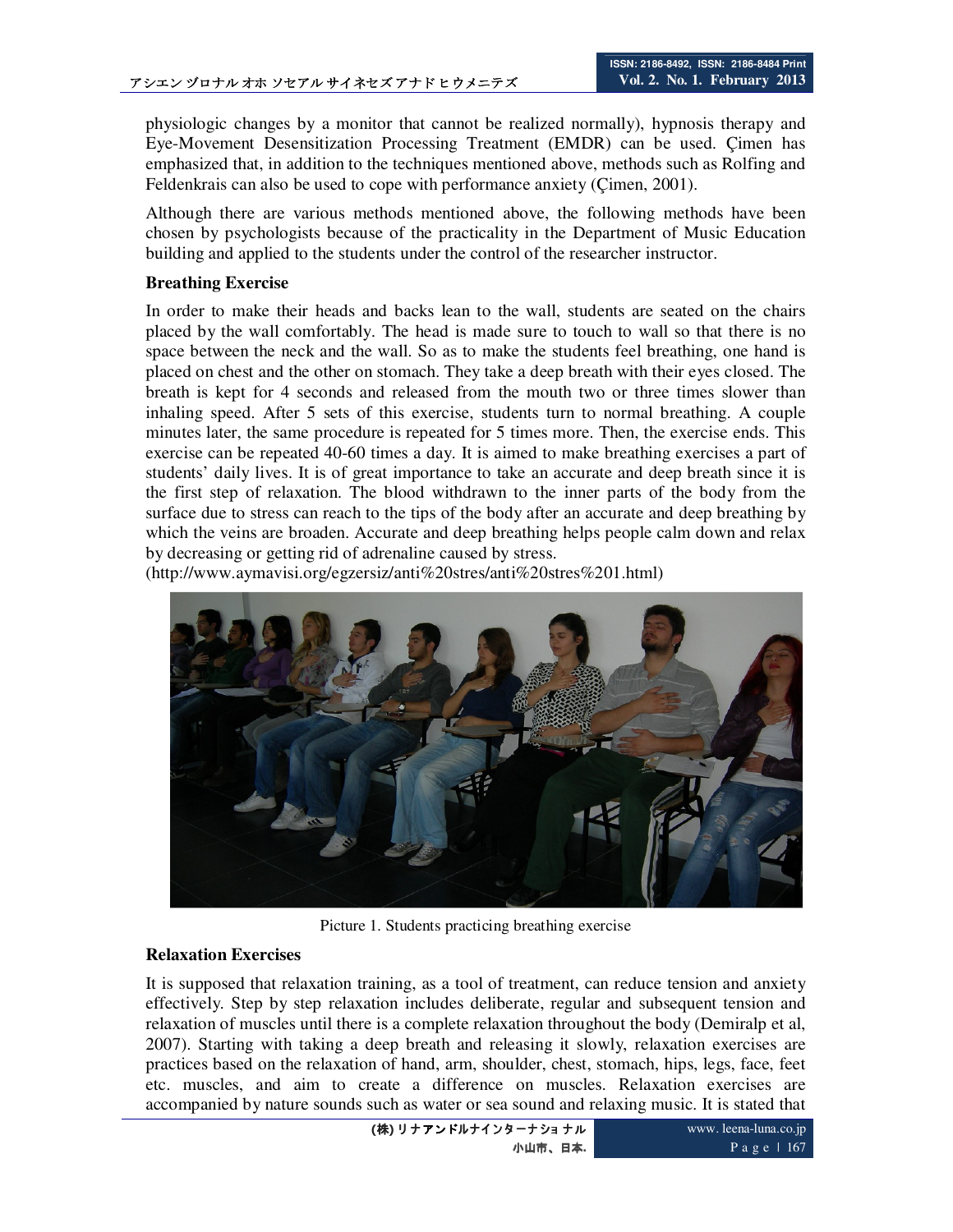physiologic changes by a monitor that cannot be realized normally), hypnosis therapy and Eye-Movement Desensitization Processing Treatment (EMDR) can be used. Çimen has emphasized that, in addition to the techniques mentioned above, methods such as Rolfing and Feldenkrais can also be used to cope with performance anxiety (Çimen, 2001).

Although there are various methods mentioned above, the following methods have been chosen by psychologists because of the practicality in the Department of Music Education building and applied to the students under the control of the researcher instructor.

## **Breathing Exercise**

In order to make their heads and backs lean to the wall, students are seated on the chairs placed by the wall comfortably. The head is made sure to touch to wall so that there is no space between the neck and the wall. So as to make the students feel breathing, one hand is placed on chest and the other on stomach. They take a deep breath with their eyes closed. The breath is kept for 4 seconds and released from the mouth two or three times slower than inhaling speed. After 5 sets of this exercise, students turn to normal breathing. A couple minutes later, the same procedure is repeated for 5 times more. Then, the exercise ends. This exercise can be repeated 40-60 times a day. It is aimed to make breathing exercises a part of students' daily lives. It is of great importance to take an accurate and deep breath since it is the first step of relaxation. The blood withdrawn to the inner parts of the body from the surface due to stress can reach to the tips of the body after an accurate and deep breathing by which the veins are broaden. Accurate and deep breathing helps people calm down and relax by decreasing or getting rid of adrenaline caused by stress.

(http://www.aymavisi.org/egzersiz/anti%20stres/anti%20stres%201.html)



Picture 1. Students practicing breathing exercise

## **Relaxation Exercises**

It is supposed that relaxation training, as a tool of treatment, can reduce tension and anxiety effectively. Step by step relaxation includes deliberate, regular and subsequent tension and relaxation of muscles until there is a complete relaxation throughout the body (Demiralp et al, 2007). Starting with taking a deep breath and releasing it slowly, relaxation exercises are practices based on the relaxation of hand, arm, shoulder, chest, stomach, hips, legs, face, feet etc. muscles, and aim to create a difference on muscles. Relaxation exercises are accompanied by nature sounds such as water or sea sound and relaxing music. It is stated that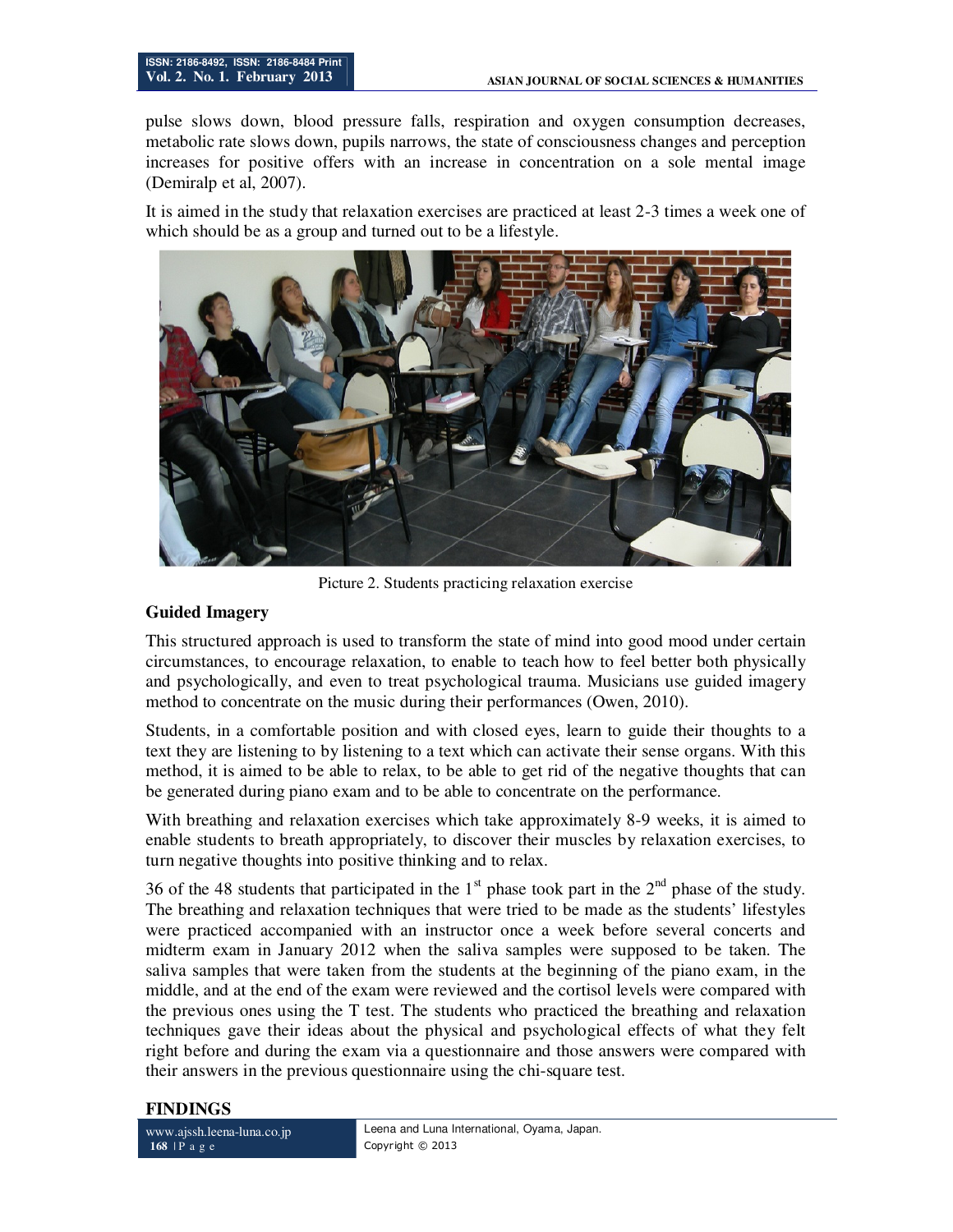pulse slows down, blood pressure falls, respiration and oxygen consumption decreases, metabolic rate slows down, pupils narrows, the state of consciousness changes and perception increases for positive offers with an increase in concentration on a sole mental image (Demiralp et al, 2007).

It is aimed in the study that relaxation exercises are practiced at least 2-3 times a week one of which should be as a group and turned out to be a lifestyle.



Picture 2. Students practicing relaxation exercise

## **Guided Imagery**

This structured approach is used to transform the state of mind into good mood under certain circumstances, to encourage relaxation, to enable to teach how to feel better both physically and psychologically, and even to treat psychological trauma. Musicians use guided imagery method to concentrate on the music during their performances (Owen, 2010).

Students, in a comfortable position and with closed eyes, learn to guide their thoughts to a text they are listening to by listening to a text which can activate their sense organs. With this method, it is aimed to be able to relax, to be able to get rid of the negative thoughts that can be generated during piano exam and to be able to concentrate on the performance.

With breathing and relaxation exercises which take approximately 8-9 weeks, it is aimed to enable students to breath appropriately, to discover their muscles by relaxation exercises, to turn negative thoughts into positive thinking and to relax.

36 of the 48 students that participated in the  $1<sup>st</sup>$  phase took part in the  $2<sup>nd</sup>$  phase of the study. The breathing and relaxation techniques that were tried to be made as the students' lifestyles were practiced accompanied with an instructor once a week before several concerts and midterm exam in January 2012 when the saliva samples were supposed to be taken. The saliva samples that were taken from the students at the beginning of the piano exam, in the middle, and at the end of the exam were reviewed and the cortisol levels were compared with the previous ones using the T test. The students who practiced the breathing and relaxation techniques gave their ideas about the physical and psychological effects of what they felt right before and during the exam via a questionnaire and those answers were compared with their answers in the previous questionnaire using the chi-square test.

## **FINDINGS**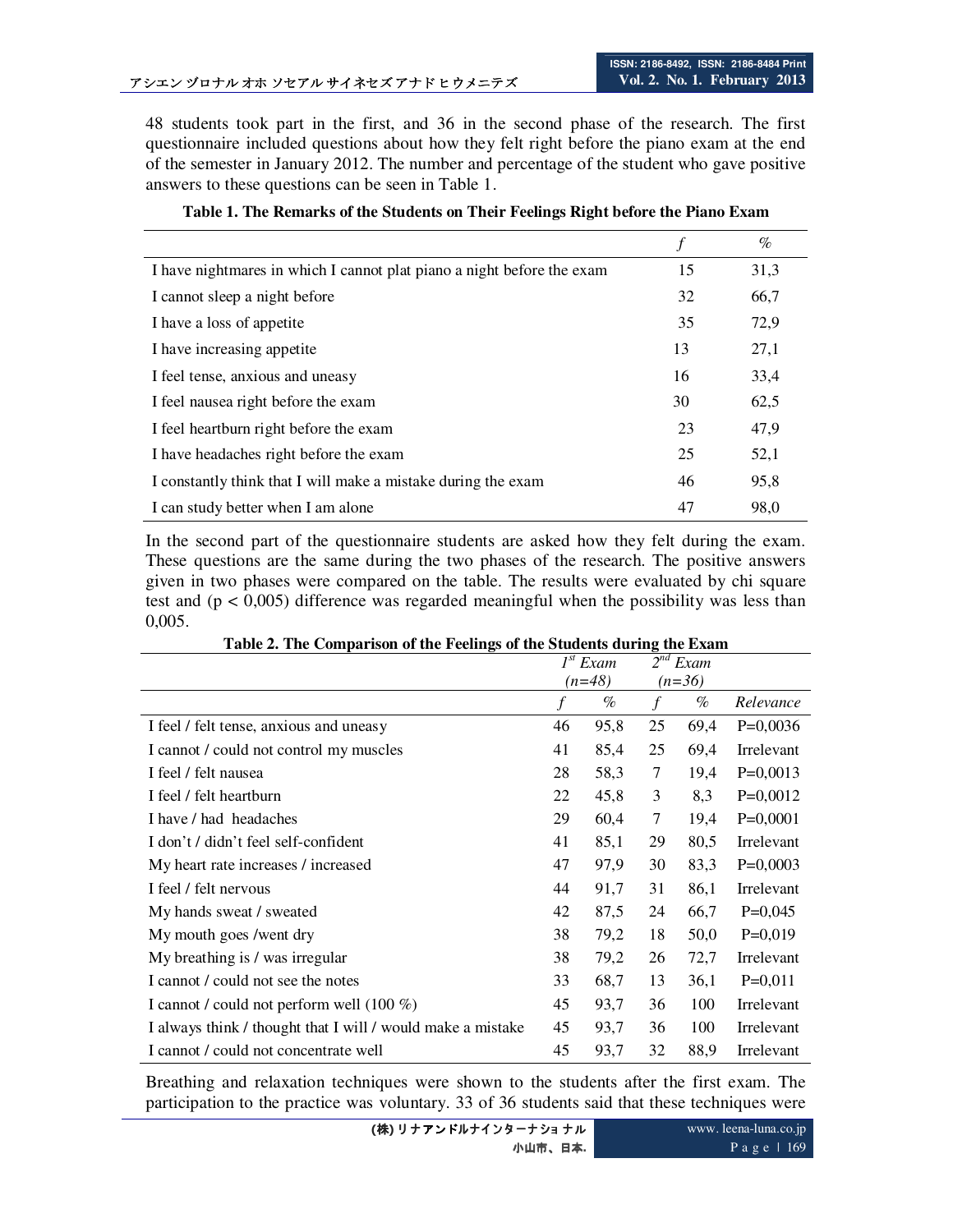48 students took part in the first, and 36 in the second phase of the research. The first questionnaire included questions about how they felt right before the piano exam at the end of the semester in January 2012. The number and percentage of the student who gave positive answers to these questions can be seen in Table 1.

|                                                                        |    | $\%$ |
|------------------------------------------------------------------------|----|------|
| I have nightmares in which I cannot plat piano a night before the exam | 15 | 31,3 |
| I cannot sleep a night before                                          | 32 | 66,7 |
| I have a loss of appetite                                              | 35 | 72,9 |
| I have increasing appetite                                             | 13 | 27,1 |
| I feel tense, anxious and uneasy                                       | 16 | 33,4 |
| I feel nausea right before the exam                                    | 30 | 62,5 |
| I feel heartburn right before the exam                                 | 23 | 47,9 |
| I have headaches right before the exam                                 | 25 | 52,1 |
| I constantly think that I will make a mistake during the exam          | 46 | 95,8 |
| I can study better when I am alone                                     | 47 | 98,0 |

## **Table 1. The Remarks of the Students on Their Feelings Right before the Piano Exam**

In the second part of the questionnaire students are asked how they felt during the exam. These questions are the same during the two phases of the research. The positive answers given in two phases were compared on the table. The results were evaluated by chi square test and  $(p < 0.005)$  difference was regarded meaningful when the possibility was less than 0,005.

|                                                             | I <sup>st</sup> Exam |      | $2^{nd}$<br>Exam |      |                   |
|-------------------------------------------------------------|----------------------|------|------------------|------|-------------------|
|                                                             | $(n=48)$             |      | $(n=36)$         |      |                   |
|                                                             |                      | $\%$ | f                | $\%$ | Relevance         |
| I feel / felt tense, anxious and uneasy                     | 46                   | 95,8 | 25               | 69,4 | $P=0,0036$        |
| I cannot / could not control my muscles                     | 41                   | 85,4 | 25               | 69,4 | <b>Irrelevant</b> |
| I feel / felt nausea                                        | 28                   | 58,3 | 7                | 19,4 | $P=0,0013$        |
| I feel / felt heartburn                                     | 22                   | 45,8 | 3                | 8,3  | $P=0,0012$        |
| I have / had headaches                                      | 29                   | 60,4 | 7                | 19,4 | $P=0,0001$        |
| I don't / didn't feel self-confident                        | 41                   | 85,1 | 29               | 80,5 | Irrelevant        |
| My heart rate increases / increased                         | 47                   | 97,9 | 30               | 83,3 | $P=0,0003$        |
| I feel / felt nervous                                       | 44                   | 91,7 | 31               | 86,1 | Irrelevant        |
| My hands sweat / sweated                                    | 42                   | 87,5 | 24               | 66,7 | $P=0,045$         |
| My mouth goes /went dry                                     | 38                   | 79,2 | 18               | 50,0 | $P=0,019$         |
| My breathing is / was irregular                             | 38                   | 79,2 | 26               | 72,7 | Irrelevant        |
| I cannot / could not see the notes                          | 33                   | 68,7 | 13               | 36,1 | $P=0,011$         |
| I cannot / could not perform well $(100\%)$                 | 45                   | 93,7 | 36               | 100  | Irrelevant        |
| I always think / thought that I will / would make a mistake | 45                   | 93,7 | 36               | 100  | Irrelevant        |
| I cannot / could not concentrate well                       | 45                   | 93,7 | 32               | 88,9 | Irrelevant        |

**Table 2. The Comparison of the Feelings of the Students during the Exam** 

Breathing and relaxation techniques were shown to the students after the first exam. The participation to the practice was voluntary. 33 of 36 students said that these techniques were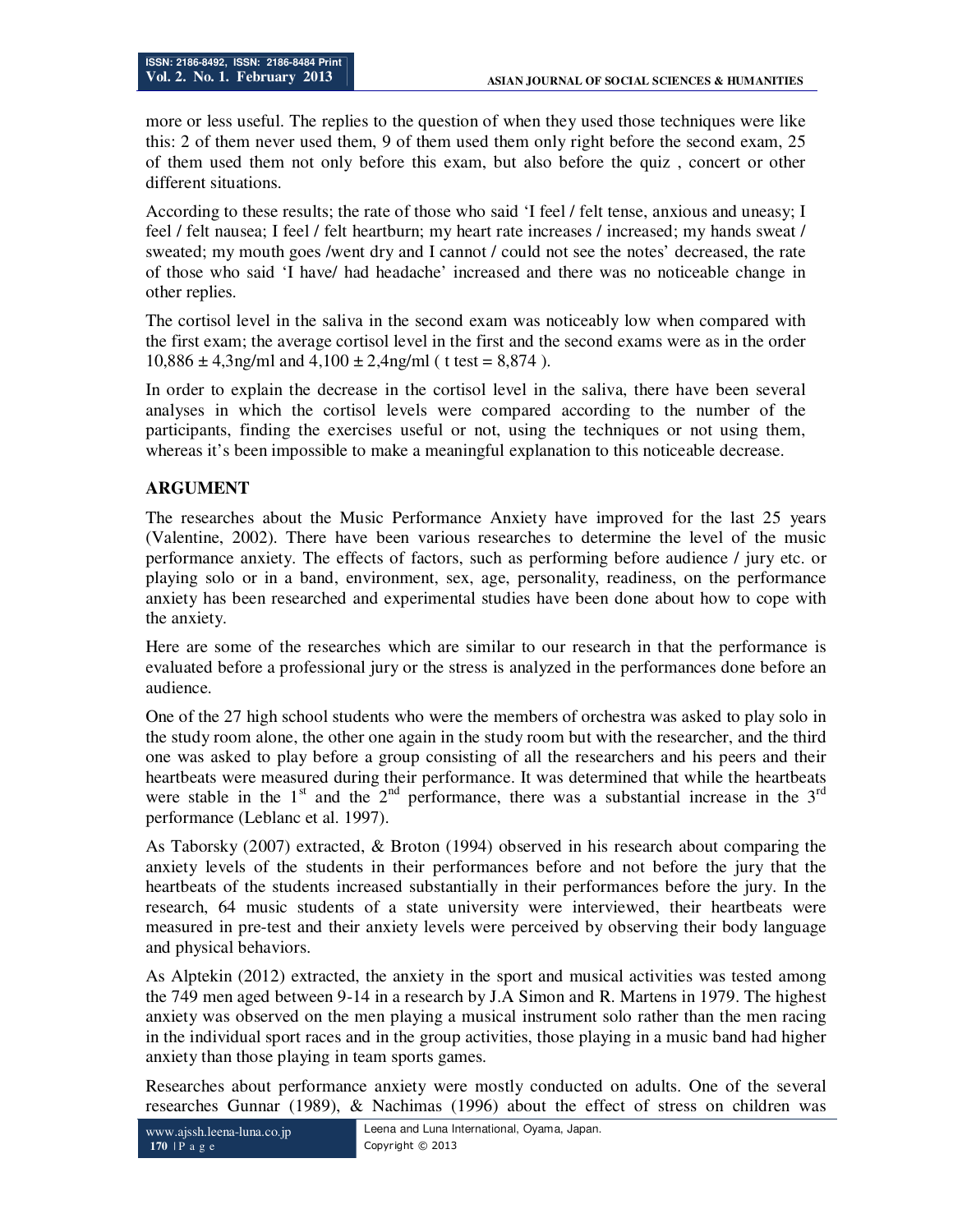more or less useful. The replies to the question of when they used those techniques were like this: 2 of them never used them, 9 of them used them only right before the second exam, 25 of them used them not only before this exam, but also before the quiz , concert or other different situations.

According to these results; the rate of those who said 'I feel / felt tense, anxious and uneasy; I feel / felt nausea; I feel / felt heartburn; my heart rate increases / increased; my hands sweat / sweated; my mouth goes /went dry and I cannot / could not see the notes' decreased, the rate of those who said 'I have/ had headache' increased and there was no noticeable change in other replies.

The cortisol level in the saliva in the second exam was noticeably low when compared with the first exam; the average cortisol level in the first and the second exams were as in the order  $10,886 \pm 4,3$ ng/ml and  $4,100 \pm 2,4$ ng/ml (t test = 8,874).

In order to explain the decrease in the cortisol level in the saliva, there have been several analyses in which the cortisol levels were compared according to the number of the participants, finding the exercises useful or not, using the techniques or not using them, whereas it's been impossible to make a meaningful explanation to this noticeable decrease.

## **ARGUMENT**

The researches about the Music Performance Anxiety have improved for the last 25 years (Valentine, 2002). There have been various researches to determine the level of the music performance anxiety. The effects of factors, such as performing before audience / jury etc. or playing solo or in a band, environment, sex, age, personality, readiness, on the performance anxiety has been researched and experimental studies have been done about how to cope with the anxiety.

Here are some of the researches which are similar to our research in that the performance is evaluated before a professional jury or the stress is analyzed in the performances done before an audience.

One of the 27 high school students who were the members of orchestra was asked to play solo in the study room alone, the other one again in the study room but with the researcher, and the third one was asked to play before a group consisting of all the researchers and his peers and their heartbeats were measured during their performance. It was determined that while the heartbeats were stable in the  $1<sup>st</sup>$  and the  $2<sup>nd</sup>$  performance, there was a substantial increase in the  $3<sup>rd</sup>$ performance (Leblanc et al. 1997).

As Taborsky (2007) extracted, & Broton (1994) observed in his research about comparing the anxiety levels of the students in their performances before and not before the jury that the heartbeats of the students increased substantially in their performances before the jury. In the research, 64 music students of a state university were interviewed, their heartbeats were measured in pre-test and their anxiety levels were perceived by observing their body language and physical behaviors.

As Alptekin (2012) extracted, the anxiety in the sport and musical activities was tested among the 749 men aged between 9-14 in a research by J.A Simon and R. Martens in 1979. The highest anxiety was observed on the men playing a musical instrument solo rather than the men racing in the individual sport races and in the group activities, those playing in a music band had higher anxiety than those playing in team sports games.

Researches about performance anxiety were mostly conducted on adults. One of the several researches Gunnar (1989), & Nachimas (1996) about the effect of stress on children was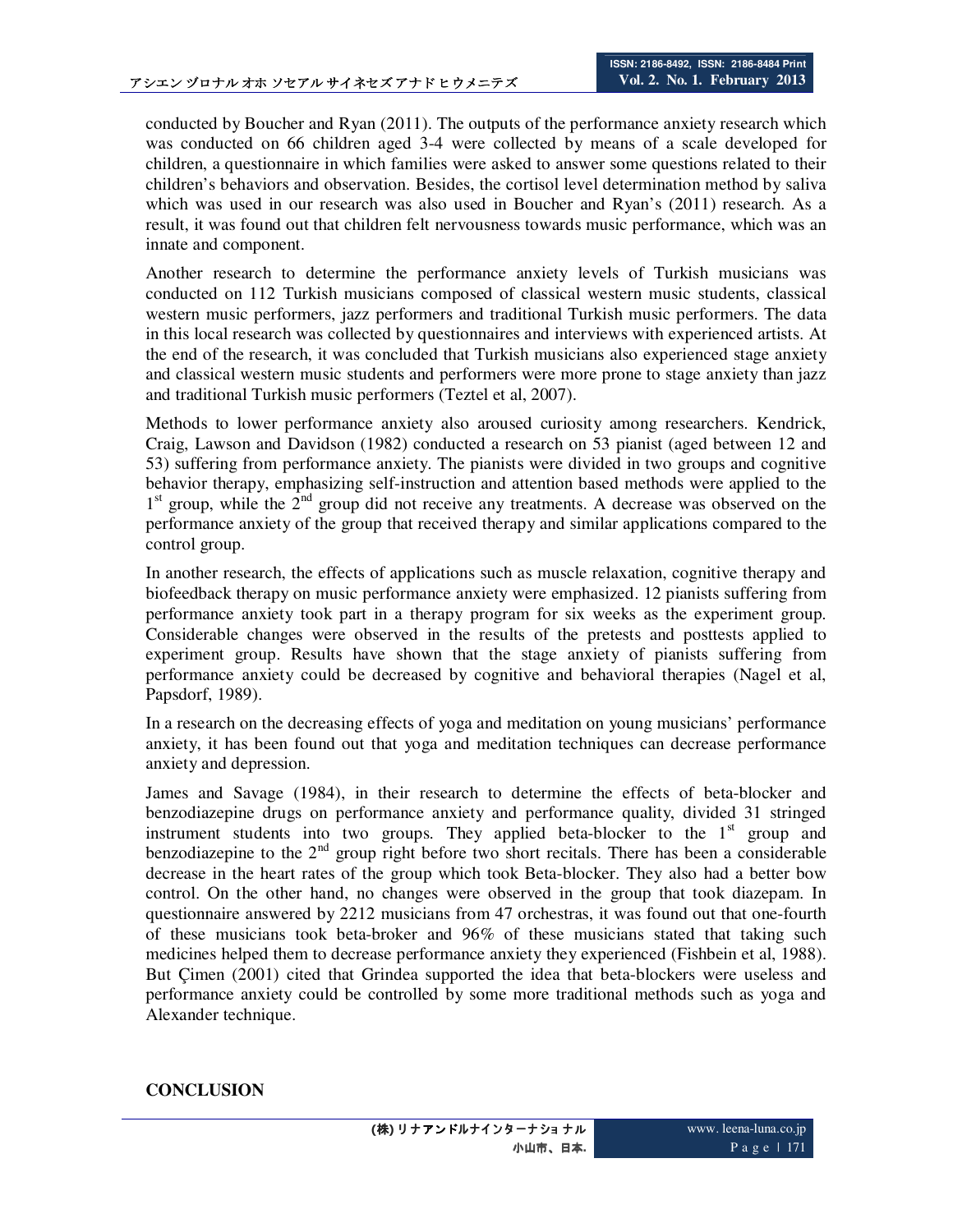conducted by Boucher and Ryan (2011). The outputs of the performance anxiety research which was conducted on 66 children aged 3-4 were collected by means of a scale developed for children, a questionnaire in which families were asked to answer some questions related to their children's behaviors and observation. Besides, the cortisol level determination method by saliva which was used in our research was also used in Boucher and Ryan's (2011) research. As a result, it was found out that children felt nervousness towards music performance, which was an innate and component.

Another research to determine the performance anxiety levels of Turkish musicians was conducted on 112 Turkish musicians composed of classical western music students, classical western music performers, jazz performers and traditional Turkish music performers. The data in this local research was collected by questionnaires and interviews with experienced artists. At the end of the research, it was concluded that Turkish musicians also experienced stage anxiety and classical western music students and performers were more prone to stage anxiety than jazz and traditional Turkish music performers (Teztel et al, 2007).

Methods to lower performance anxiety also aroused curiosity among researchers. Kendrick, Craig, Lawson and Davidson (1982) conducted a research on 53 pianist (aged between 12 and 53) suffering from performance anxiety. The pianists were divided in two groups and cognitive behavior therapy, emphasizing self-instruction and attention based methods were applied to the 1<sup>st</sup> group, while the 2<sup>nd</sup> group did not receive any treatments. A decrease was observed on the performance anxiety of the group that received therapy and similar applications compared to the control group.

In another research, the effects of applications such as muscle relaxation, cognitive therapy and biofeedback therapy on music performance anxiety were emphasized. 12 pianists suffering from performance anxiety took part in a therapy program for six weeks as the experiment group. Considerable changes were observed in the results of the pretests and posttests applied to experiment group. Results have shown that the stage anxiety of pianists suffering from performance anxiety could be decreased by cognitive and behavioral therapies (Nagel et al, Papsdorf, 1989).

In a research on the decreasing effects of yoga and meditation on young musicians' performance anxiety, it has been found out that yoga and meditation techniques can decrease performance anxiety and depression.

James and Savage (1984), in their research to determine the effects of beta-blocker and benzodiazepine drugs on performance anxiety and performance quality, divided 31 stringed instrument students into two groups. They applied beta-blocker to the  $1<sup>st</sup>$  group and benzodiazepine to the  $2<sup>nd</sup>$  group right before two short recitals. There has been a considerable decrease in the heart rates of the group which took Beta-blocker. They also had a better bow control. On the other hand, no changes were observed in the group that took diazepam. In questionnaire answered by 2212 musicians from 47 orchestras, it was found out that one-fourth of these musicians took beta-broker and 96% of these musicians stated that taking such medicines helped them to decrease performance anxiety they experienced (Fishbein et al, 1988). But Çimen (2001) cited that Grindea supported the idea that beta-blockers were useless and performance anxiety could be controlled by some more traditional methods such as yoga and Alexander technique.

## **CONCLUSION**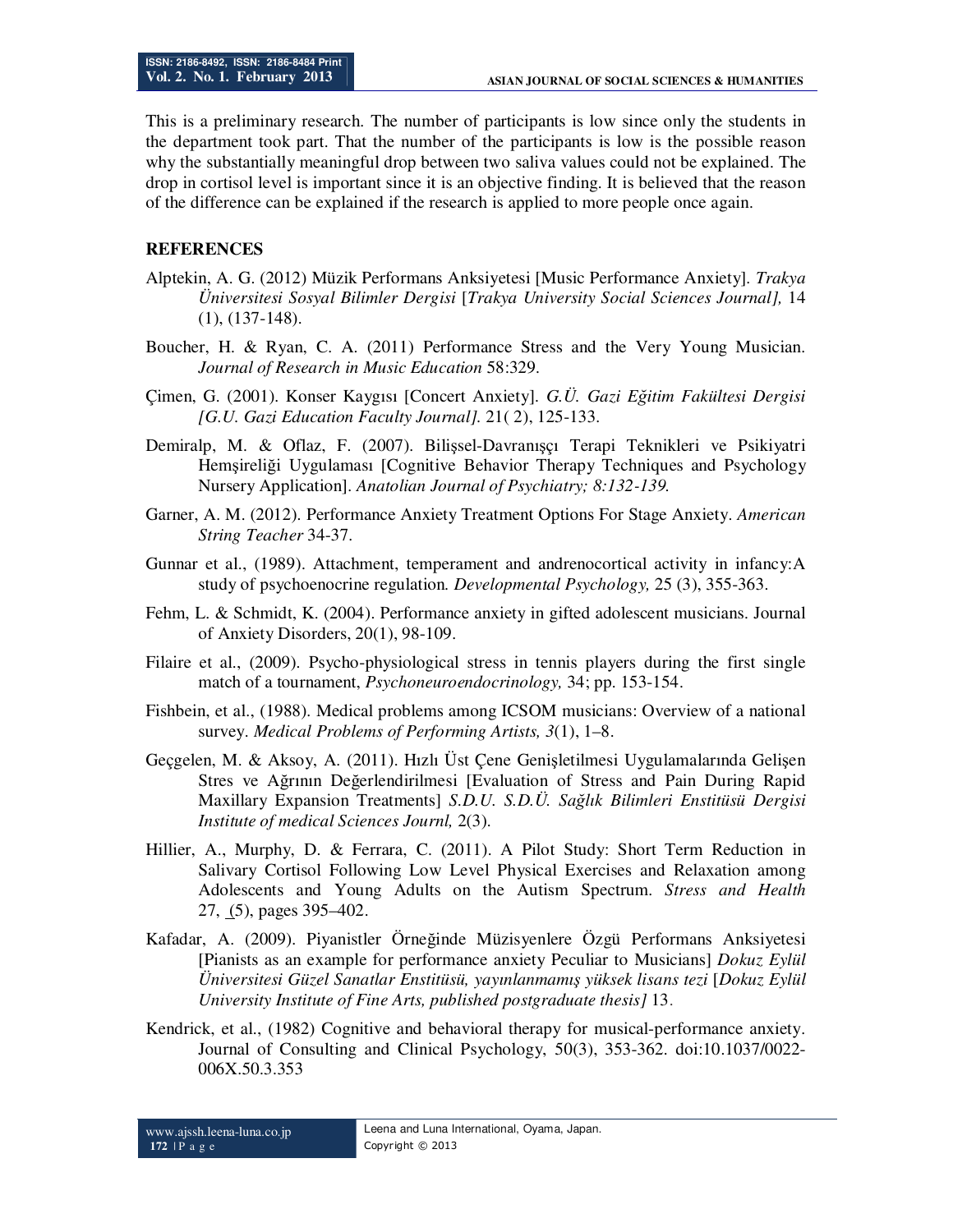This is a preliminary research. The number of participants is low since only the students in the department took part. That the number of the participants is low is the possible reason why the substantially meaningful drop between two saliva values could not be explained. The drop in cortisol level is important since it is an objective finding. It is believed that the reason of the difference can be explained if the research is applied to more people once again.

#### **REFERENCES**

- Alptekin, A. G. (2012) Müzik Performans Anksiyetesi [Music Performance Anxiety]. *Trakya Üniversitesi Sosyal Bilimler Dergisi* [*Trakya University Social Sciences Journal],* 14 (1), (137-148).
- Boucher, H. & Ryan, C. A. (2011) Performance Stress and the Very Young Musician. *Journal of Research in Music Education* 58:329.
- Çimen, G. (2001). Konser Kaygısı [Concert Anxiety]. *G.Ü. Gazi Eğitim Fakültesi Dergisi [G.U. Gazi Education Faculty Journal].* 21( 2), 125-133.
- Demiralp, M. & Oflaz, F. (2007). Bilişsel-Davranışçı Terapi Teknikleri ve Psikiyatri Hemşireliği Uygulaması [Cognitive Behavior Therapy Techniques and Psychology Nursery Application]. *Anatolian Journal of Psychiatry; 8:132-139.*
- Garner, A. M. (2012). Performance Anxiety Treatment Options For Stage Anxiety. *American String Teacher* 34-37.
- Gunnar et al., (1989). Attachment, temperament and andrenocortical activity in infancy:A study of psychoenocrine regulation*. Developmental Psychology,* 25 (3), 355-363.
- Fehm, L. & Schmidt, K. (2004). Performance anxiety in gifted adolescent musicians. Journal of Anxiety Disorders, 20(1), 98-109.
- Filaire et al., (2009). Psycho-physiological stress in tennis players during the first single match of a tournament, *Psychoneuroendocrinology,* 34; pp. 153-154.
- Fishbein, et al., (1988). Medical problems among ICSOM musicians: Overview of a national survey. *Medical Problems of Performing Artists, 3*(1), 1–8.
- Geçgelen, M. & Aksoy, A. (2011). Hızlı Üst Çene Genişletilmesi Uygulamalarında Gelişen Stres ve Ağrının Değerlendirilmesi [Evaluation of Stress and Pain During Rapid Maxillary Expansion Treatments] *S.D.U. S.D.Ü. Sağlık Bilimleri Enstitüsü Dergisi Institute of medical Sciences Journl,* 2(3).
- Hillier, A., Murphy, D. & Ferrara, C. (2011). A Pilot Study: Short Term Reduction in Salivary Cortisol Following Low Level Physical Exercises and Relaxation among Adolescents and Young Adults on the Autism Spectrum. *Stress and Health* 27, (5), pages 395–402.
- Kafadar, A. (2009). Piyanistler Örneğinde Müzisyenlere Özgü Performans Anksiyetesi [Pianists as an example for performance anxiety Peculiar to Musicians] *Dokuz Eylül Üniversitesi Güzel Sanatlar Enstitüsü, yayınlanmamış yüksek lisans tezi* [*Dokuz Eylül University Institute of Fine Arts, published postgraduate thesis]* 13.
- Kendrick, et al., (1982) Cognitive and behavioral therapy for musical-performance anxiety. Journal of Consulting and Clinical Psychology, 50(3), 353-362. doi:10.1037/0022- 006X.50.3.353